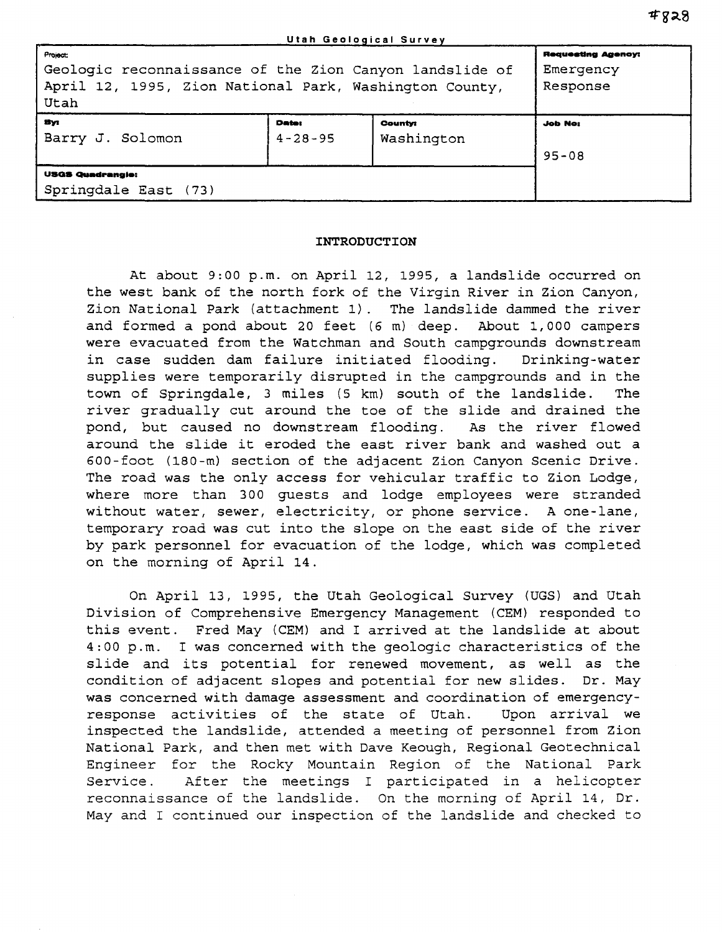| Project:<br>Geologic reconnaissance of the Zion Canyon landslide of<br>April 12, 1995, Zion National Park, Washington County,<br>Utah |                               |                              | <b>Requesting Agency:</b><br>Emergency<br>Response |
|---------------------------------------------------------------------------------------------------------------------------------------|-------------------------------|------------------------------|----------------------------------------------------|
| Bуı<br>Barry J. Solomon                                                                                                               | <b>Date:</b><br>$4 - 28 - 95$ | <b>County:</b><br>Washington | <b>Job No:</b><br>$95 - 08$                        |
| <b>USGS Quadrangie:</b><br>Springdale East (73)                                                                                       |                               |                              |                                                    |

## **INTRODUCTION**

At about 9:00 p.m. on April 12, 1995, a landslide occurred on the west bank of the north fork of the Virgin River in Zion Canyon, Zion National Park (attachment 1). The landslide dammed the river and formed a pond about 20 feet (6 m) deep. About 1,000 campers were evacuated from the Watchman and South campgrounds downstream in case sudden dam failure initiated flooding. Drinking-water supplies were temporarily disrupted in the campgrounds and in the town of Springdale, 3 miles (5 km) south of the landslide. The river gradually cut around the toe of the slide and drained the pond, but caused no downstream flooding. As the river flowed around the slide it eroded the east river bank and washed out a 600-foot (180-m) section of the adjacent Zion Canyon Scenic Drive. The road was the only access for vehicular traffic to Zion Lodge, where more than 300 guests and lodge employees were stranded without water, sewer, electricity, or phone service. A one-lane, temporary road was cut into the slope on the east side of the river by park personnel for evacuation of the lodge, which was completed on the morning of April 14.

On April 13, 1995, the Utah Geological Survey (UGS) and Utah Division of Comprehensive Emergency Management (CEM) responded to this event. Fred May (CEM) and I arrived at the landslide at about 4:00 p.m. I was concerned with the geologic characteristics of the slide and its potential for renewed movement, as well as the condition of adjacent slopes and potential for new slides. Dr. May was concerned with damage assessment and coordination of emergencyresponse activities of the state of Utah. Upon arrival we inspected the landslide, attended a meeting of personnel from Zion National Park, and then met with Dave Keough, Regional Geotechnical Engineer for the Rocky Mountain Region of the National Park Service. After the meetings I participated in a helicopter reconnaissance of the landslide. On the morning of April 14, Dr. May and I continued our inspection of the landslide and checked to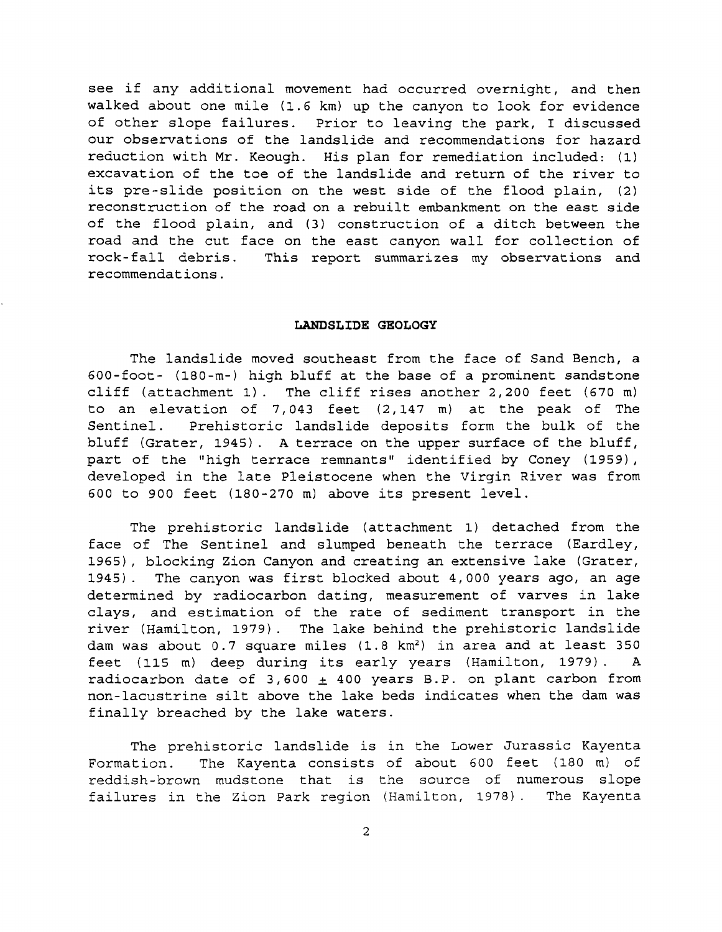see if any additional movement had occurred overnight, and then walked about one mile (1.6 km) up the canyon to look for evidence of other slope failures. Prior to leaving the park, I discussed our observations of the landslide and recommendations for hazard reduction with Mr. Keough. His plan for remediation included: (1) excavation of the toe of the landslide and return of the river to its pre-slide position on the west side of the flood plain, (2) reconstruction of the road on a rebuilt embankment on the east side of the flood plain, and (3) construction of a ditch between the road and the cut face on the east canyon wall for collection of rock- fall debris. This report summarizes my observations and recommendations.

## **LANDSLIDE GEOLOGY**

The landslide moved southeast from the face of Sand Bench, a 600-foot- (180-m-) high bluff at the base of a prominent sandstone cliff (attachment 1). The cliff rises another 2,200 feet (670 m) to an elevation of 7,043 feet (2,147 m) at the peak of The Sentinel. Prehistoric landslide deposits form the bulk of the bluff (Grater, 1945). A terrace on the upper surface of the bluff, part of the "high terrace remnants" identified by Coney (1959), developed in the late Pleistocene when the Virgin River was from 600 to 900 feet (180-270 m) above its present level.

The prehistoric landslide (attachment 1) detached from the face of The Sentinel and slumped beneath the terrace (Eardley, 1965), blocking Zion Canyon and creating an extensive lake (Grater, 1945). The canyon was first blocked about 4,000 years ago, an age determined by radiocarbon dating, measurement of varves in lake clays, and estimation of the rate of sediment transport in the river (Hamilton, 1979). The lake behind the prehistoric landslide dam was about 0.7 square miles (1.8 km<sup>2</sup>) in area and at least 350 feet (115 m) deep during its early years (Hamilton, 1979). A radiocarbon date of *3,600* ± 400 years B.P. on plant carbon from non-lacustrine silt above the lake beds indicates when the dam was finally breached by the lake waters.

The prehistoric landslide is in the Lower Jurassic Kayenta Formation. The Kayenta consists of about 600 feet (180 m) of reddish-brown mudstone that is the source of numerous slope failures in the Zion Park region (Hamilton, 1978). The Kayenta

2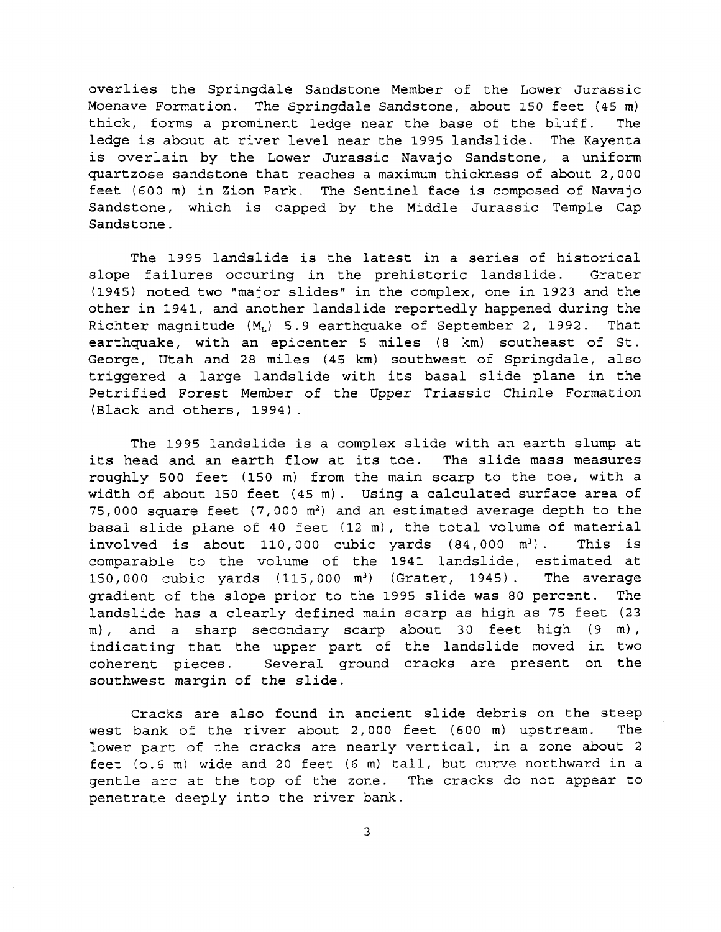overlies the Springdale Sandstone Member of the Lower Jurassic Moenave Formation. The Springdale Sandstone, about 150 feet (45 m) thick, forms a prominent ledge near the base of the bluff. The ledge is about at river level near the 1995 landslide. The Kayenta is overlain by the Lower Jurassic Navajo Sandstone, a uniform quartzose sandstone that reaches a maximum thickness of about 2,000 feet (600 m) in Zion Park. The Sentinel face is composed of Navajo Sandstone, which is capped by the Middle Jurassic Temple Cap Sandstone.

The 1995 landslide is the latest in a series of historical slope failures occuring in the prehistoric landslide. Grater (1945) noted two "major slides" in the complex, one in 1923 and the other in 1941, and another landslide reportedly happened during the Richter magnitude  $(M_L)$  5.9 earthquake of September 2, 1992. That earthquake, with an epicenter 5 miles (8 km) southeast of St. George, Utah and 28 miles (45 km) southwest of Springdale, also triggered a large landslide with its basal slide plane in the Petrified Forest Member of the Upper Triassic Chinle Formation (Black and others, 1994).

The 1995 landslide is a complex slide with an earth slump at its head and an earth flow at its toe. The slide mass measures roughly 500 feet (150 m) from the main scarp to the toe, with a width of about 150 feet (45 m). Using a calculated surface area of 75,000 square feet  $(7,000 \text{ m}^2)$  and an estimated average depth to the basal slide plane of 40 feet (12 m), the total volume of material involved is about 110,000 cubic yards  $(84,000 \text{ m}^3)$ . This is comparable to the volume of the 1941 landslide, estimated at 150,000 cubic yards (115,000 m<sup>3</sup>) (Grater, 1945). The average gradient of the slope prior to the 1995 slide was 80 percent. The landslide has a clearly defined main scarp as high as 75 feet (23  $m$ ), and a sharp secondary scarp about 30 feet high (9 m), indicating that the upper part of the landslide moved in two coherent pieces. Several ground cracks are present on the southwest margin of the slide.

Cracks are also found in ancient slide debris on the steep west bank of the river about 2,000 feet (600 m) upstream. The lower part of the cracks are nearly vertical, in a zone about 2 feet (0.6 m) wide and 20 feet (6 m) tall, but curve northward in a gentle arc at the top of the zone. The cracks do not appear to penetrate deeply into the river bank.

3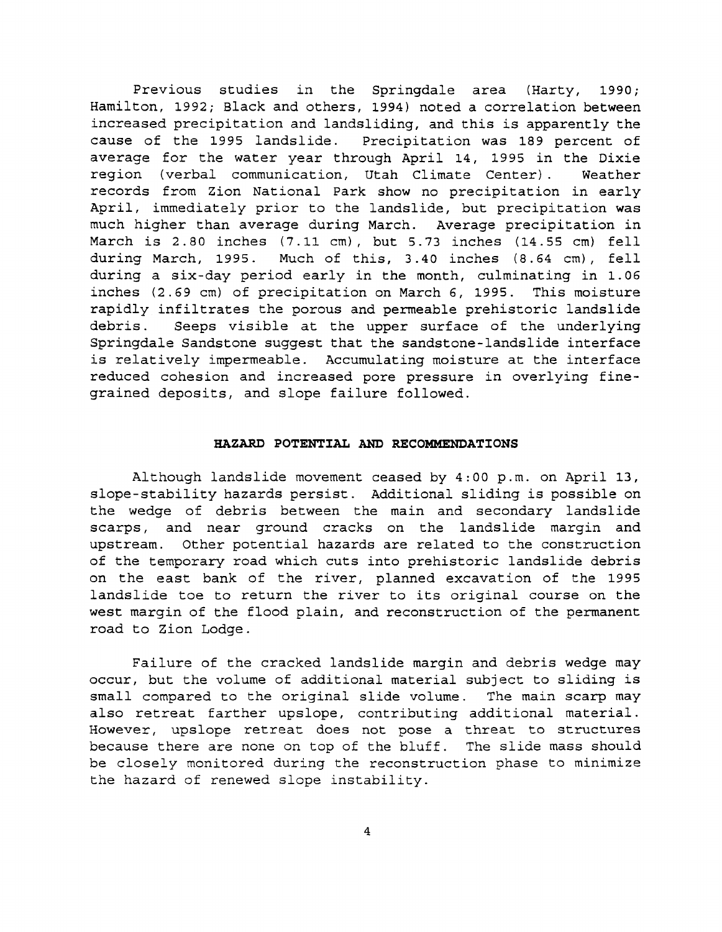Previous studies in the Springdale area (Harty, 1990; Hamilton, 1992; Black and others, 1994) noted a correlation between increased precipitation and landsliding, and this is apparently the cause of the 1995 landslide. Precipitation was 189 percent of average for the water year through April 14, 1995 in the Dixie region (verbal communication, Utah Climate Center). Weather records from Zion National Park show no precipitation in early April, immediately prior to the landslide, but precipitation was much higher than average during March. Average precipitation in March is 2.80 inches (7.11 cm), but 5.73 inches (14.55 cm) fell during March, 1995. Much of this, 3.40 inches (8.64 cm), fell during a six-day period early in the month, culminating in 1.06 inches (2.69 cm) of precipitation on March 6, 1995. This moisture rapidly infiltrates the porous and permeable prehistoric landslide<br>debris. Seeps visible at the upper surface of the underlying Seeps visible at the upper surface of the underlying Springdale Sandstone suggest that the sandstone-landslide interface is relatively impermeable. Accumulating moisture at the interface reduced cohesion and increased pore pressure in overlying finegrained deposits, and slope failure followed.

## **HAZARD POTENTIAL AND RECOMMENDATIONS**

Although landslide movement ceased by 4:00 p.m. on April 13, slope-stability hazards persist. Additional sliding is possible on the wedge of debris between the main and secondary landslide scarps, and near ground cracks on the landslide margin and upstream. Other potential hazards are related to the construction of the temporary road which cuts into prehistoric landslide debris on the east bank of the river, planned excavation of the 1995 landslide toe to return the river to its original course on the west margin of the flood plain, and reconstruction of the permanent road to Zion Lodge.

Failure of the cracked landslide margin and debris wedge may occur, but the volume of additional material subject to sliding is small compared to the original slide volume. The main scarp may also retreat farther upslope, contributing additional material. However, upslope retreat does not pose a threat to structures because there are none on top of the bluff. The slide mass should be closely monitored during the reconstruction phase to minimize the hazard of renewed slope instability.

4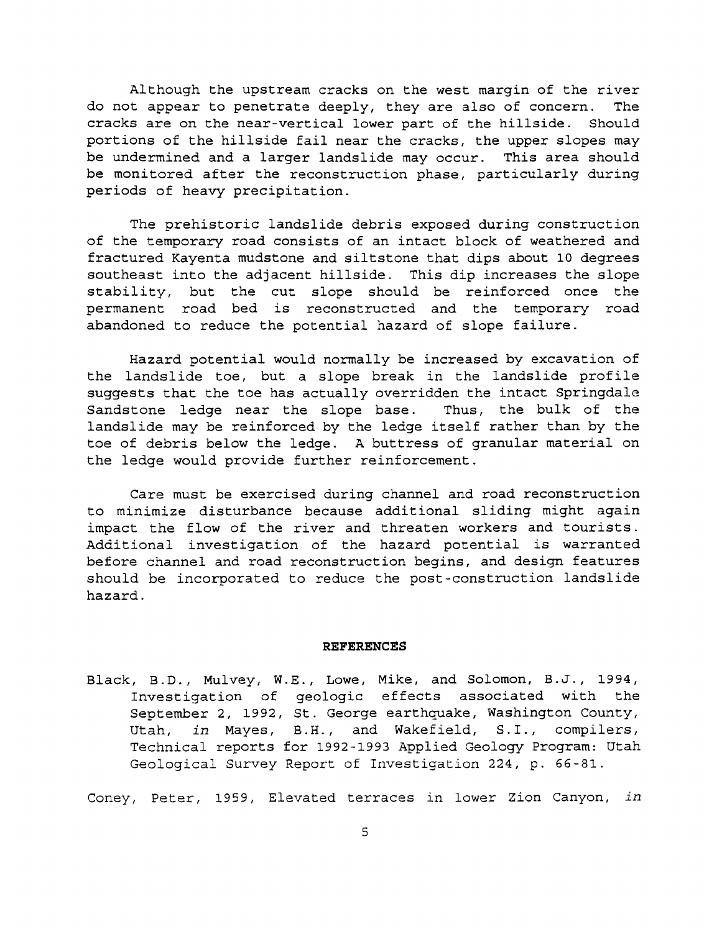Although the upstream cracks on the west margin of the river do not appear to penetrate deeply, they are also of concern. The cracks are on the near-vertical lower part of the hillside. Should portions of the hillside fail near the cracks, the upper slopes may be undermined and a larger landslide may occur. This area should be monitored after the reconstruction phase, particularly during periods of heavy precipitation.

The prehistoric landslide debris exposed during construction of the temporary road consists of an intact block of weathered and fractured Kayenta mudstone and siltstone that dips about 10 degrees southeast into the adjacent hillside. This dip increases the slope stability, but the cut slope should be reinforced once the permanent road bed is reconstructed and the temporary road abandoned to reduce the potential hazard of slope failure.

Hazard potential would normally be increased by excavation of the landslide toe, but a slope break in the landslide profile suggests that the toe has actually overridden the intact Springdale<br>Sandstone ledge near the slope base. Thus, the bulk of the Sandstone ledge near the slope base. landslide may be reinforced by the ledge itself rather than by the toe of debris below the ledge. A buttress of granular material on the ledge would provide further reinforcement.

Care must be exercised during channel and road reconstruction to minimize disturbance because additional sliding might again impact the flow of the river and threaten workers and tourists. Additional investigation of the hazard potential is warranted before channel and road reconstruction begins, and design features should be incorporated to reduce the post-construction landslide hazard.

## **REFERENCES**

Black, B.D., Mulvey, W.E., Lowe, Mike, and Solomon, B.J., 1994, Investigation of geologic effects associated with the September 2, 1992, St. George earthquake, Washington County, Utah, *in* Mayes, B.H., and Wakefield, S.I., compilers, Technical reports for 1992-1993 Applied Geology Program: Utah Geological Survey Report of Investigation 224, p. 66-81.

Coney, Peter, 1959, Elevated terraces in lower Zion Canyon, *in*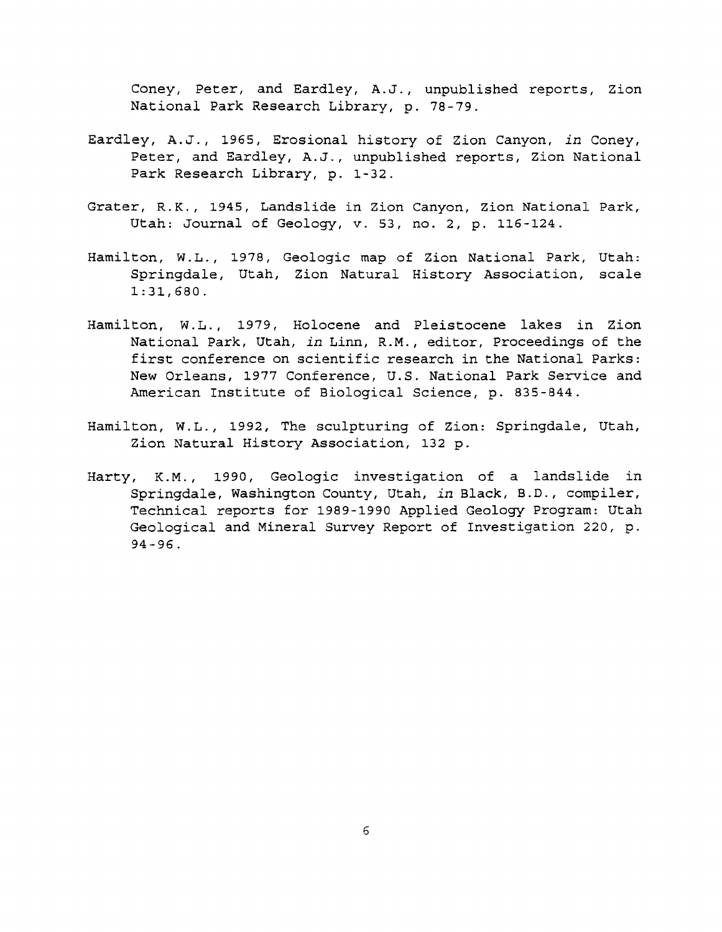Coney, Peter, and Eardley, A.J., unpublished reports, Zion National Park Research Library, p. 78-79.

- Eardley, A.J., 1965, Erosional history of Zion Canyon, *in* Coney, Peter, and Eardley, A.J., unpublished reports, Zion National Park Research Library, p. 1-32.
- Grater, R.K., 1945, Landslide in Zion Canyon, Zion National Park, Utah: Journal of Geology, v. 53, no. 2, p. 116-124.
- Hamilton, W. L., 1978, Geologic map of Zion National Park, Utah: Springdale, Utah, Zion Natural History Association, scale 1:31,680.
- Hamil ton, W. L., 1979, Holocene and Pleistocene lakes in Zion National Park, Utah, *in* Linn, R.M., editor, Proceedings of the first conference on scientific research in the National Parks: New Orleans, 1977 Conference, U.S. National Park Service and American Institute of Biological Science, p. 835-844.
- Hamilton, W.L., 1992, The sculpturing of Zion: Springdale, Utah, Zion Natural History Association, 132 p.
- Harty, K.M., 1990, Geologic investigation of a landslide in Springdale, Washington County, Utah, *in* Black, B.D., compiler, Technical reports for 1989-1990 Applied Geology Program: Utah Geological and Mineral Survey Report of Investigation 220, p. 94-96.